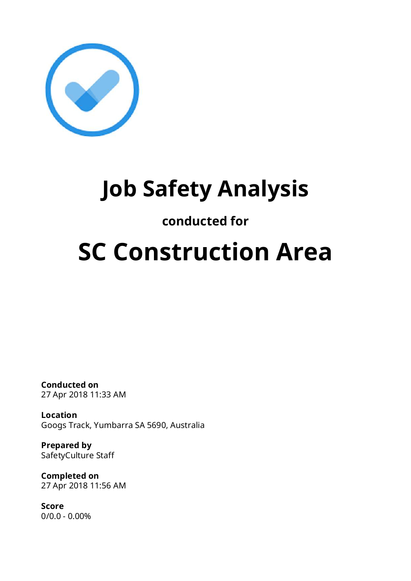

## **Job Safety Analysis**

### **conducted for**

# **SC Construction Area**

**Conducted on** 27 Apr 2018 11:33 AM

**Location** Googs Track, Yumbarra SA 5690, Australia

**Prepared by** SafetyCulture Staff

**Completed on** 27 Apr 2018 11:56 AM

**Score** 0/0.0 - 0.00%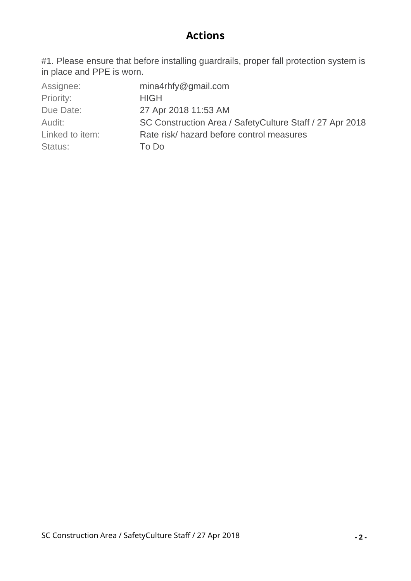#### **Actions**

#1. Please ensure that before installing guardrails, proper fall protection system is in place and PPE is worn.

| Assignee:       | $mina4r$ hfy@gmail.com                                   |
|-----------------|----------------------------------------------------------|
| Priority:       | <b>HIGH</b>                                              |
| Due Date:       | 27 Apr 2018 11:53 AM                                     |
| Audit:          | SC Construction Area / SafetyCulture Staff / 27 Apr 2018 |
| Linked to item: | Rate risk/hazard before control measures                 |
| Status:         | To Do                                                    |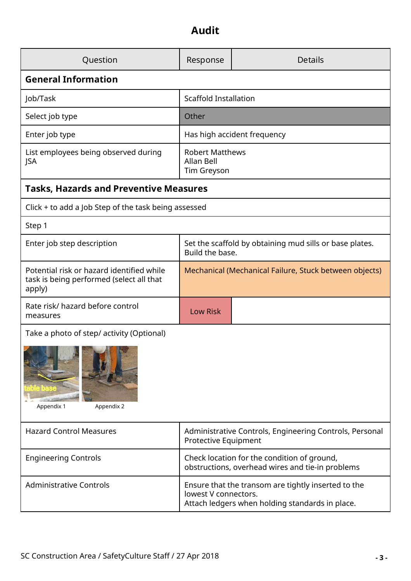### **Audit**

| Question                                                                                        | Response                                                                                                                       | <b>Details</b> |  |  |
|-------------------------------------------------------------------------------------------------|--------------------------------------------------------------------------------------------------------------------------------|----------------|--|--|
| <b>General Information</b>                                                                      |                                                                                                                                |                |  |  |
| Job/Task                                                                                        | <b>Scaffold Installation</b>                                                                                                   |                |  |  |
| Select job type                                                                                 | Other                                                                                                                          |                |  |  |
| Enter job type                                                                                  | Has high accident frequency                                                                                                    |                |  |  |
| List employees being observed during<br>JSA                                                     | <b>Robert Matthews</b><br>Allan Bell<br>Tim Greyson                                                                            |                |  |  |
| <b>Tasks, Hazards and Preventive Measures</b>                                                   |                                                                                                                                |                |  |  |
| Click + to add a Job Step of the task being assessed                                            |                                                                                                                                |                |  |  |
| Step 1                                                                                          |                                                                                                                                |                |  |  |
| Enter job step description                                                                      | Set the scaffold by obtaining mud sills or base plates.<br>Build the base.                                                     |                |  |  |
| Potential risk or hazard identified while<br>task is being performed (select all that<br>apply) | Mechanical (Mechanical Failure, Stuck between objects)                                                                         |                |  |  |
| Rate risk/ hazard before control<br>measures                                                    | <b>Low Risk</b>                                                                                                                |                |  |  |
| Take a photo of step/ activity (Optional)<br>Appendix 2<br>Appendix 1                           |                                                                                                                                |                |  |  |
| <b>Hazard Control Measures</b>                                                                  | Administrative Controls, Engineering Controls, Personal<br>Protective Equipment                                                |                |  |  |
| <b>Engineering Controls</b>                                                                     | Check location for the condition of ground,<br>obstructions, overhead wires and tie-in problems                                |                |  |  |
| <b>Administrative Controls</b>                                                                  | Ensure that the transom are tightly inserted to the<br>lowest V connectors.<br>Attach ledgers when holding standards in place. |                |  |  |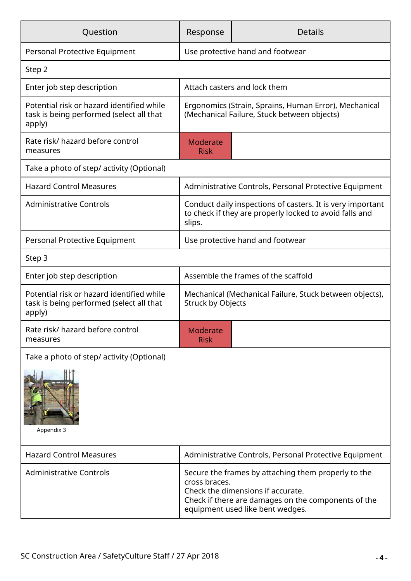| Question                                                                                        | Response                                                                                                                                                         | <b>Details</b>                                         |  |  |
|-------------------------------------------------------------------------------------------------|------------------------------------------------------------------------------------------------------------------------------------------------------------------|--------------------------------------------------------|--|--|
| Personal Protective Equipment                                                                   | Use protective hand and footwear                                                                                                                                 |                                                        |  |  |
| Step 2                                                                                          |                                                                                                                                                                  |                                                        |  |  |
| Enter job step description                                                                      | Attach casters and lock them                                                                                                                                     |                                                        |  |  |
| Potential risk or hazard identified while<br>task is being performed (select all that<br>apply) | Ergonomics (Strain, Sprains, Human Error), Mechanical<br>(Mechanical Failure, Stuck between objects)                                                             |                                                        |  |  |
| Rate risk/ hazard before control<br>measures                                                    | <b>Moderate</b><br><b>Risk</b>                                                                                                                                   |                                                        |  |  |
| Take a photo of step/ activity (Optional)                                                       |                                                                                                                                                                  |                                                        |  |  |
| <b>Hazard Control Measures</b>                                                                  |                                                                                                                                                                  | Administrative Controls, Personal Protective Equipment |  |  |
| <b>Administrative Controls</b>                                                                  | Conduct daily inspections of casters. It is very important<br>to check if they are properly locked to avoid falls and<br>slips.                                  |                                                        |  |  |
| Personal Protective Equipment                                                                   | Use protective hand and footwear                                                                                                                                 |                                                        |  |  |
| Step 3                                                                                          |                                                                                                                                                                  |                                                        |  |  |
| Enter job step description                                                                      | Assemble the frames of the scaffold                                                                                                                              |                                                        |  |  |
| Potential risk or hazard identified while<br>task is being performed (select all that<br>apply) | Mechanical (Mechanical Failure, Stuck between objects),<br><b>Struck by Objects</b>                                                                              |                                                        |  |  |
| Rate risk/ hazard before control<br>measures                                                    | <b>Moderate</b><br><b>Risk</b>                                                                                                                                   |                                                        |  |  |
| Take a photo of step/ activity (Optional)                                                       |                                                                                                                                                                  |                                                        |  |  |
| Appendix 3                                                                                      |                                                                                                                                                                  |                                                        |  |  |
| <b>Hazard Control Measures</b>                                                                  | Administrative Controls, Personal Protective Equipment                                                                                                           |                                                        |  |  |
| <b>Administrative Controls</b>                                                                  | Secure the frames by attaching them properly to the<br>cross braces.<br>Check the dimensions if accurate.<br>Check if there are damages on the components of the |                                                        |  |  |

equipment used like bent wedges.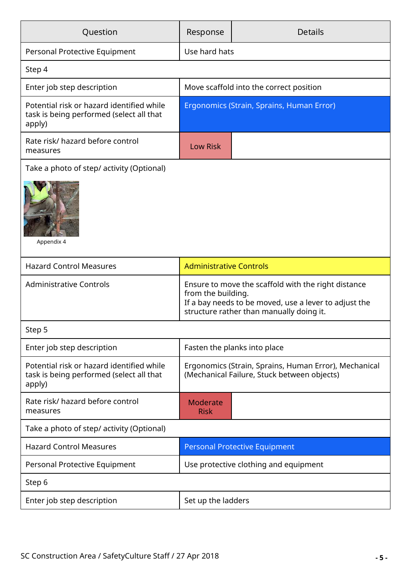| Question                                                                                        | Response                                                                                                                                                                       | <b>Details</b> |  |  |
|-------------------------------------------------------------------------------------------------|--------------------------------------------------------------------------------------------------------------------------------------------------------------------------------|----------------|--|--|
| Personal Protective Equipment                                                                   | Use hard hats                                                                                                                                                                  |                |  |  |
| Step 4                                                                                          |                                                                                                                                                                                |                |  |  |
| Enter job step description                                                                      | Move scaffold into the correct position                                                                                                                                        |                |  |  |
| Potential risk or hazard identified while<br>task is being performed (select all that<br>apply) | Ergonomics (Strain, Sprains, Human Error)                                                                                                                                      |                |  |  |
| Rate risk/ hazard before control<br>measures                                                    | <b>Low Risk</b>                                                                                                                                                                |                |  |  |
| Take a photo of step/ activity (Optional)<br>Appendix 4                                         |                                                                                                                                                                                |                |  |  |
| <b>Hazard Control Measures</b>                                                                  | <b>Administrative Controls</b>                                                                                                                                                 |                |  |  |
| <b>Administrative Controls</b>                                                                  | Ensure to move the scaffold with the right distance<br>from the building.<br>If a bay needs to be moved, use a lever to adjust the<br>structure rather than manually doing it. |                |  |  |
| Step 5                                                                                          |                                                                                                                                                                                |                |  |  |
| Enter job step description                                                                      | Fasten the planks into place                                                                                                                                                   |                |  |  |
| Potential risk or hazard identified while<br>task is being performed (select all that<br>apply) | Ergonomics (Strain, Sprains, Human Error), Mechanical<br>(Mechanical Failure, Stuck between objects)                                                                           |                |  |  |
| Rate risk/ hazard before control<br>measures                                                    | <b>Moderate</b><br><b>Risk</b>                                                                                                                                                 |                |  |  |
| Take a photo of step/ activity (Optional)                                                       |                                                                                                                                                                                |                |  |  |
| <b>Hazard Control Measures</b>                                                                  | <b>Personal Protective Equipment</b>                                                                                                                                           |                |  |  |
| Personal Protective Equipment                                                                   | Use protective clothing and equipment                                                                                                                                          |                |  |  |
| Step 6                                                                                          |                                                                                                                                                                                |                |  |  |
| Enter job step description                                                                      | Set up the ladders                                                                                                                                                             |                |  |  |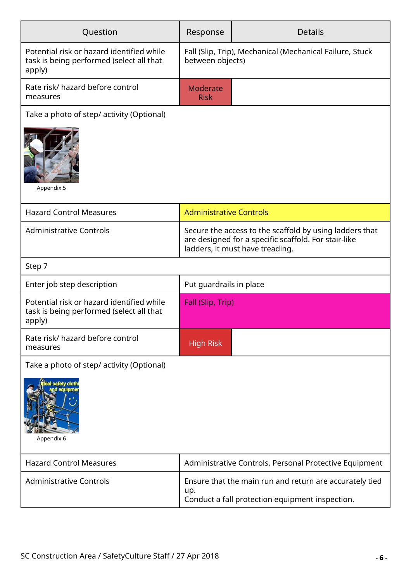| Question                                                                                        | Response                                                                                                                                           | <b>Details</b>                 |  |  |  |
|-------------------------------------------------------------------------------------------------|----------------------------------------------------------------------------------------------------------------------------------------------------|--------------------------------|--|--|--|
| Potential risk or hazard identified while<br>task is being performed (select all that<br>apply) | Fall (Slip, Trip), Mechanical (Mechanical Failure, Stuck<br>between objects)                                                                       |                                |  |  |  |
| Rate risk/ hazard before control<br>measures                                                    | Moderate<br><b>Risk</b>                                                                                                                            |                                |  |  |  |
| Take a photo of step/ activity (Optional)                                                       |                                                                                                                                                    |                                |  |  |  |
| Appendix 5                                                                                      |                                                                                                                                                    |                                |  |  |  |
| <b>Hazard Control Measures</b>                                                                  |                                                                                                                                                    | <b>Administrative Controls</b> |  |  |  |
| <b>Administrative Controls</b>                                                                  | Secure the access to the scaffold by using ladders that<br>are designed for a specific scaffold. For stair-like<br>ladders, it must have treading. |                                |  |  |  |
| Step 7                                                                                          |                                                                                                                                                    |                                |  |  |  |
| Enter job step description                                                                      | Put guardrails in place                                                                                                                            |                                |  |  |  |
| Potential risk or hazard identified while<br>task is being performed (select all that<br>apply) | Fall (Slip, Trip)                                                                                                                                  |                                |  |  |  |
| Rate risk/ hazard before control<br>measures                                                    | <b>High Risk</b>                                                                                                                                   |                                |  |  |  |
| Take a photo of step/ activity (Optional)                                                       |                                                                                                                                                    |                                |  |  |  |
| <b>il safety cloth</b><br>Appendix 6                                                            |                                                                                                                                                    |                                |  |  |  |
| <b>Hazard Control Measures</b>                                                                  | Administrative Controls, Personal Protective Equipment                                                                                             |                                |  |  |  |
| <b>Administrative Controls</b>                                                                  | Ensure that the main run and return are accurately tied<br>up.<br>Conduct a fall protection equipment inspection.                                  |                                |  |  |  |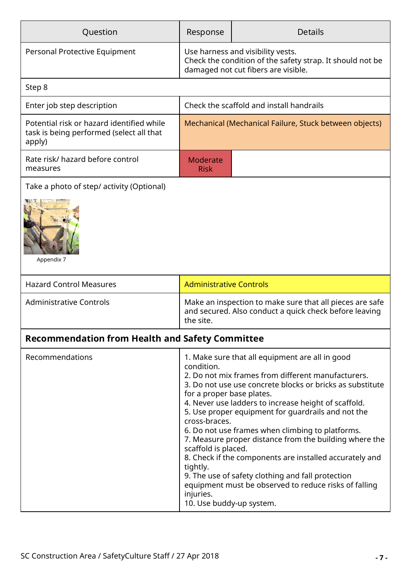| Question                                                                                        | Response                                                                                                                              | <b>Details</b>                                                                                                                                                                                                                                                                                                                                                                                                                                                                                                                                                          |  |  |
|-------------------------------------------------------------------------------------------------|---------------------------------------------------------------------------------------------------------------------------------------|-------------------------------------------------------------------------------------------------------------------------------------------------------------------------------------------------------------------------------------------------------------------------------------------------------------------------------------------------------------------------------------------------------------------------------------------------------------------------------------------------------------------------------------------------------------------------|--|--|
| Personal Protective Equipment                                                                   | Use harness and visibility vests.<br>Check the condition of the safety strap. It should not be<br>damaged not cut fibers are visible. |                                                                                                                                                                                                                                                                                                                                                                                                                                                                                                                                                                         |  |  |
| Step 8                                                                                          |                                                                                                                                       |                                                                                                                                                                                                                                                                                                                                                                                                                                                                                                                                                                         |  |  |
| Enter job step description                                                                      | Check the scaffold and install handrails                                                                                              |                                                                                                                                                                                                                                                                                                                                                                                                                                                                                                                                                                         |  |  |
| Potential risk or hazard identified while<br>task is being performed (select all that<br>apply) | Mechanical (Mechanical Failure, Stuck between objects)                                                                                |                                                                                                                                                                                                                                                                                                                                                                                                                                                                                                                                                                         |  |  |
| Rate risk/ hazard before control<br>measures                                                    | <b>Moderate</b><br><b>Risk</b>                                                                                                        |                                                                                                                                                                                                                                                                                                                                                                                                                                                                                                                                                                         |  |  |
| Take a photo of step/ activity (Optional)                                                       |                                                                                                                                       |                                                                                                                                                                                                                                                                                                                                                                                                                                                                                                                                                                         |  |  |
| Appendix 7                                                                                      |                                                                                                                                       |                                                                                                                                                                                                                                                                                                                                                                                                                                                                                                                                                                         |  |  |
| <b>Hazard Control Measures</b>                                                                  | <b>Administrative Controls</b>                                                                                                        |                                                                                                                                                                                                                                                                                                                                                                                                                                                                                                                                                                         |  |  |
| <b>Administrative Controls</b>                                                                  | Make an inspection to make sure that all pieces are safe<br>and secured. Also conduct a quick check before leaving<br>the site.       |                                                                                                                                                                                                                                                                                                                                                                                                                                                                                                                                                                         |  |  |
| <b>Recommendation from Health and Safety Committee</b>                                          |                                                                                                                                       |                                                                                                                                                                                                                                                                                                                                                                                                                                                                                                                                                                         |  |  |
| Recommendations                                                                                 | condition.<br>for a proper base plates.<br>cross-braces.<br>scaffold is placed.<br>tightly.<br>injuries.<br>10. Use buddy-up system.  | 1. Make sure that all equipment are all in good<br>2. Do not mix frames from different manufacturers.<br>3. Do not use use concrete blocks or bricks as substitute<br>4. Never use ladders to increase height of scaffold.<br>5. Use proper equipment for guardrails and not the<br>6. Do not use frames when climbing to platforms.<br>7. Measure proper distance from the building where the<br>8. Check if the components are installed accurately and<br>9. The use of safety clothing and fall protection<br>equipment must be observed to reduce risks of falling |  |  |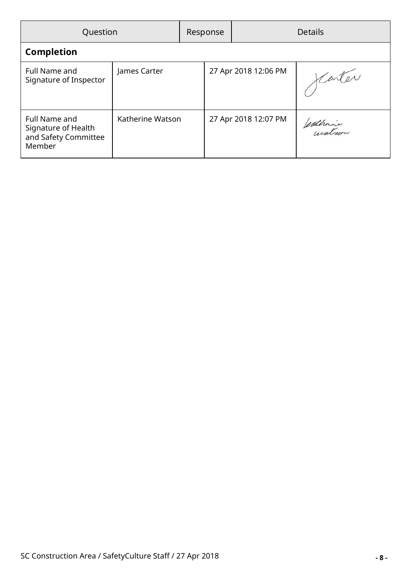| Question                                                               |                  |  | Response             |                      | <b>Details</b> |
|------------------------------------------------------------------------|------------------|--|----------------------|----------------------|----------------|
| <b>Completion</b>                                                      |                  |  |                      |                      |                |
| Full Name and<br>Signature of Inspector                                | James Carter     |  | 27 Apr 2018 12:06 PM |                      | Carter         |
| Full Name and<br>Signature of Health<br>and Safety Committee<br>Member | Katherine Watson |  |                      | 27 Apr 2018 12:07 PM | enthair        |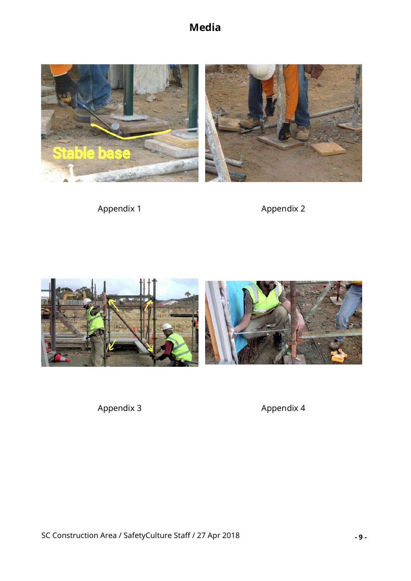**Media**



Appendix 1 Appendix 2



Appendix 3 Appendix 4